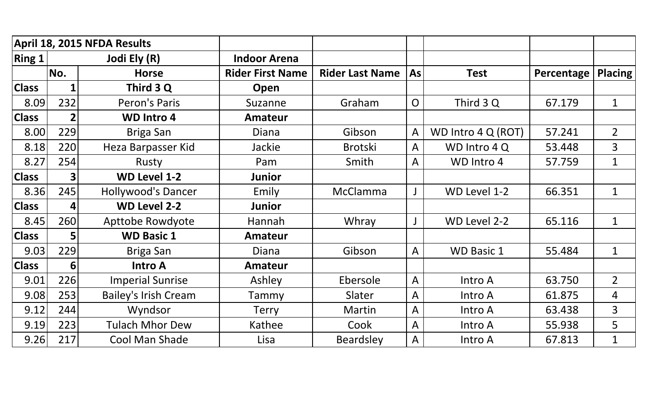|              |                | April 18, 2015 NFDA Results |                         |                        |                |                    |            |                |
|--------------|----------------|-----------------------------|-------------------------|------------------------|----------------|--------------------|------------|----------------|
| Ring 1       |                | Jodi Ely (R)                | <b>Indoor Arena</b>     |                        |                |                    |            |                |
|              | No.            | <b>Horse</b>                | <b>Rider First Name</b> | <b>Rider Last Name</b> | As             | <b>Test</b>        | Percentage | <b>Placing</b> |
| <b>Class</b> |                | Third 3 Q                   | Open                    |                        |                |                    |            |                |
| 8.09         | 232            | Peron's Paris               | Suzanne                 | Graham                 | $\overline{O}$ | Third 3 Q          | 67.179     | $\mathbf 1$    |
| <b>Class</b> | $\overline{2}$ | <b>WD Intro 4</b>           | <b>Amateur</b>          |                        |                |                    |            |                |
| 8.00         | 229            | Briga San                   | <b>Diana</b>            | Gibson                 | A              | WD Intro 4 Q (ROT) | 57.241     | $\overline{2}$ |
| 8.18         | 220            | Heza Barpasser Kid          | <b>Jackie</b>           | <b>Brotski</b>         | A              | WD Intro 4 Q       | 53.448     | $\overline{3}$ |
| 8.27         | 254            | Rusty                       | Pam                     | Smith                  | A              | WD Intro 4         | 57.759     | $\mathbf 1$    |
| <b>Class</b> | 3              | <b>WD Level 1-2</b>         | <b>Junior</b>           |                        |                |                    |            |                |
| 8.36         | 245            | <b>Hollywood's Dancer</b>   | Emily                   | McClamma               |                | WD Level 1-2       | 66.351     | $\mathbf 1$    |
| <b>Class</b> | 4              | <b>WD Level 2-2</b>         | <b>Junior</b>           |                        |                |                    |            |                |
| 8.45         | 260            | Apttobe Rowdyote            | Hannah                  | Whray                  |                | WD Level 2-2       | 65.116     | $\mathbf 1$    |
| <b>Class</b> | 5              | <b>WD Basic 1</b>           | <b>Amateur</b>          |                        |                |                    |            |                |
| 9.03         | 229            | Briga San                   | <b>Diana</b>            | Gibson                 | A              | <b>WD Basic 1</b>  | 55.484     | $\mathbf{1}$   |
| <b>Class</b> | 6              | <b>Intro A</b>              | <b>Amateur</b>          |                        |                |                    |            |                |
| 9.01         | 226            | <b>Imperial Sunrise</b>     | Ashley                  | Ebersole               | A              | Intro A            | 63.750     | $\overline{2}$ |
| 9.08         | 253            | <b>Bailey's Irish Cream</b> | Tammy                   | Slater                 | A              | Intro A            | 61.875     | 4              |
| 9.12         | 244            | Wyndsor                     | Terry                   | Martin                 | A              | Intro A            | 63.438     | $\overline{3}$ |
| 9.19         | 223            | <b>Tulach Mhor Dew</b>      | Kathee                  | Cook                   | A              | Intro A            | 55.938     | 5              |
| 9.26         | 217            | Cool Man Shade              | Lisa                    | <b>Beardsley</b>       | A              | Intro A            | 67.813     | $\mathbf 1$    |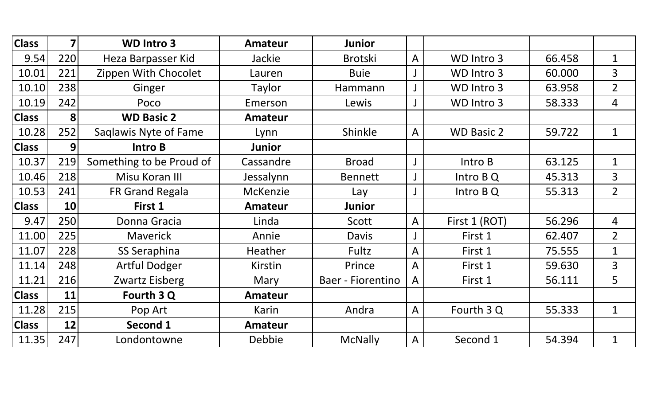| <b>Class</b> | 7   | <b>WD Intro 3</b>        | <b>Amateur</b> | <b>Junior</b>     |                |                   |        |                |
|--------------|-----|--------------------------|----------------|-------------------|----------------|-------------------|--------|----------------|
| 9.54         | 220 | Heza Barpasser Kid       | Jackie         | <b>Brotski</b>    | $\bigwedge$    | WD Intro 3        | 66.458 | $\mathbf{1}$   |
| 10.01        | 221 | Zippen With Chocolet     | Lauren         | <b>Buie</b>       |                | WD Intro 3        | 60.000 | $\overline{3}$ |
| 10.10        | 238 | Ginger                   | Taylor         | Hammann           | J              | WD Intro 3        | 63.958 | $\overline{2}$ |
| 10.19        | 242 | Poco                     | Emerson        | Lewis             | J              | WD Intro 3        | 58.333 | 4              |
| <b>Class</b> | 8   | <b>WD Basic 2</b>        | <b>Amateur</b> |                   |                |                   |        |                |
| 10.28        | 252 | Saglawis Nyte of Fame    | Lynn           | Shinkle           | A              | <b>WD Basic 2</b> | 59.722 | $\mathbf 1$    |
| <b>Class</b> | 9   | Intro B                  | <b>Junior</b>  |                   |                |                   |        |                |
| 10.37        | 219 | Something to be Proud of | Cassandre      | <b>Broad</b>      | J              | Intro B           | 63.125 | $\mathbf 1$    |
| 10.46        | 218 | Misu Koran III           | Jessalynn      | <b>Bennett</b>    | J              | Intro B Q         | 45.313 | 3              |
| 10.53        | 241 | FR Grand Regala          | McKenzie       | Lay               | J              | Intro B Q         | 55.313 | $\overline{2}$ |
| <b>Class</b> | 10  | First 1                  | <b>Amateur</b> | <b>Junior</b>     |                |                   |        |                |
| 9.47         | 250 | Donna Gracia             | Linda          | Scott             | $\overline{A}$ | First 1 (ROT)     | 56.296 | 4              |
| 11.00        | 225 | <b>Maverick</b>          | Annie          | <b>Davis</b>      | J              | First 1           | 62.407 | $\overline{2}$ |
| 11.07        | 228 | SS Seraphina             | Heather        | Fultz             | $\overline{A}$ | First 1           | 75.555 | $\mathbf{1}$   |
| 11.14        | 248 | <b>Artful Dodger</b>     | Kirstin        | Prince            | $\overline{A}$ | First 1           | 59.630 | 3              |
| 11.21        | 216 | Zwartz Eisberg           | Mary           | Baer - Fiorentino | A              | First 1           | 56.111 | 5              |
| <b>Class</b> | 11  | Fourth 3 Q               | <b>Amateur</b> |                   |                |                   |        |                |
| 11.28        | 215 | Pop Art                  | Karin          | Andra             | $\overline{A}$ | Fourth 3 Q        | 55.333 | $\mathbf{1}$   |
| <b>Class</b> | 12  | Second 1                 | <b>Amateur</b> |                   |                |                   |        |                |
| 11.35        | 247 | Londontowne              | Debbie         | <b>McNally</b>    | $\mathsf{A}$   | Second 1          | 54.394 | $\mathbf 1$    |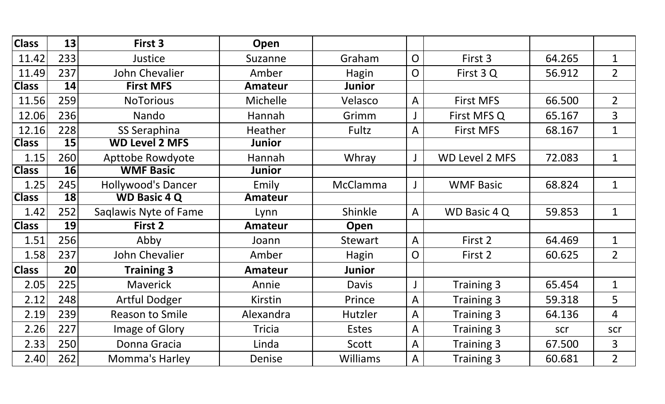| <b>Class</b> | 13        | First 3                   | Open           |                 |                |                       |        |                |
|--------------|-----------|---------------------------|----------------|-----------------|----------------|-----------------------|--------|----------------|
| 11.42        | 233       | Justice                   | Suzanne        | Graham          | $\overline{O}$ | First 3               | 64.265 | $\mathbf 1$    |
| 11.49        | 237       | John Chevalier            | Amber          | Hagin           | $\mathsf{O}$   | First 3 Q             | 56.912 | $\overline{2}$ |
| <b>Class</b> | 14        | <b>First MFS</b>          | <b>Amateur</b> | <b>Junior</b>   |                |                       |        |                |
| 11.56        | 259       | <b>NoTorious</b>          | Michelle       | Velasco         | $\overline{A}$ | <b>First MFS</b>      | 66.500 | $\overline{2}$ |
| 12.06        | 236       | Nando                     | Hannah         | Grimm           |                | First MFS Q           | 65.167 | $\overline{3}$ |
| 12.16        | 228       | SS Seraphina              | Heather        | Fultz           | A              | <b>First MFS</b>      | 68.167 | $\mathbf 1$    |
| <b>Class</b> | 15        | <b>WD Level 2 MFS</b>     | Junior         |                 |                |                       |        |                |
| 1.15         | 260       | Apttobe Rowdyote          | Hannah         | Whray           | $\mathsf{J}$   | <b>WD Level 2 MFS</b> | 72.083 | $\mathbf 1$    |
| <b>Class</b> | 16        | <b>WMF Basic</b>          | <b>Junior</b>  |                 |                |                       |        |                |
| 1.25         | 245       | <b>Hollywood's Dancer</b> | Emily          | McClamma        | J              | <b>WMF Basic</b>      | 68.824 | $\mathbf 1$    |
| <b>Class</b> | <b>18</b> | <b>WD Basic 4 Q</b>       | <b>Amateur</b> |                 |                |                       |        |                |
| 1.42         | 252       | Saqlawis Nyte of Fame     | Lynn           | Shinkle         | $\overline{A}$ | WD Basic 4 Q          | 59.853 | $\mathbf 1$    |
| <b>Class</b> | 19        | First 2                   | <b>Amateur</b> | Open            |                |                       |        |                |
| 1.51         | 256       | Abby                      | Joann          | <b>Stewart</b>  | $\overline{A}$ | First 2               | 64.469 | $\mathbf 1$    |
| 1.58         | 237       | John Chevalier            | Amber          | <b>Hagin</b>    | $\overline{O}$ | First 2               | 60.625 | $\overline{2}$ |
| <b>Class</b> | 20        | <b>Training 3</b>         | <b>Amateur</b> | <b>Junior</b>   |                |                       |        |                |
| 2.05         | 225       | <b>Maverick</b>           | Annie          | <b>Davis</b>    | $\mathsf{J}$   | Training 3            | 65.454 | $\mathbf 1$    |
| 2.12         | 248       | <b>Artful Dodger</b>      | Kirstin        | Prince          | $\overline{A}$ | Training 3            | 59.318 | 5              |
| 2.19         | 239       | <b>Reason to Smile</b>    | Alexandra      | Hutzler         | $\overline{A}$ | <b>Training 3</b>     | 64.136 | $\overline{4}$ |
| 2.26         | 227       | Image of Glory            | <b>Tricia</b>  | <b>Estes</b>    | $\mathsf{A}$   | Training 3            | scr    | scr            |
| 2.33         | 250       | Donna Gracia              | Linda          | Scott           | $\overline{A}$ | Training 3            | 67.500 | 3              |
| 2.40         | 262       | Momma's Harley            | Denise         | <b>Williams</b> | $\mathsf{A}$   | Training 3            | 60.681 | $\overline{2}$ |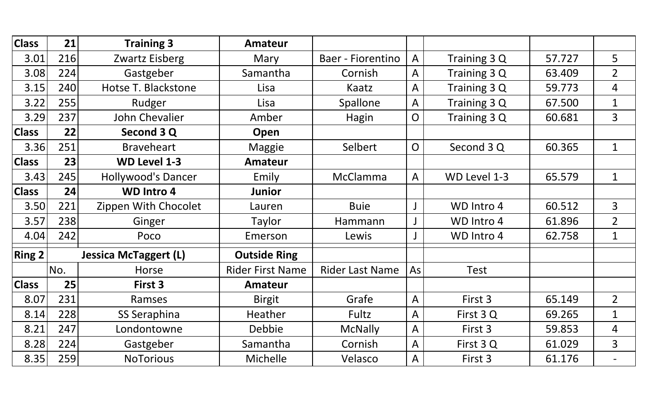| <b>Class</b>  | 21  | <b>Training 3</b>            | <b>Amateur</b>          |                        |                                |              |        |                |
|---------------|-----|------------------------------|-------------------------|------------------------|--------------------------------|--------------|--------|----------------|
| 3.01          | 216 | Zwartz Eisberg               | Mary                    | Baer - Fiorentino      | A                              | Training 3 Q | 57.727 | 5              |
| 3.08          | 224 | Gastgeber                    | Samantha                | Cornish                | A                              | Training 3 Q | 63.409 | $\overline{2}$ |
| 3.15          | 240 | Hotse T. Blackstone          | Lisa                    | Kaatz                  | A                              | Training 3 Q | 59.773 | 4              |
| 3.22          | 255 | Rudger                       | Lisa                    | Spallone               | A                              | Training 3 Q | 67.500 | $\mathbf 1$    |
| 3.29          | 237 | John Chevalier               | Amber                   | Hagin                  | Training 3 Q<br>$\overline{O}$ |              | 60.681 | $\overline{3}$ |
| <b>Class</b>  | 22  | Second 3 Q                   | Open                    |                        |                                |              |        |                |
| 3.36          | 251 | <b>Braveheart</b>            | <b>Maggie</b>           | Selbert                | $\overline{O}$                 | Second 3 Q   | 60.365 | $\mathbf 1$    |
| <b>Class</b>  | 23  | <b>WD Level 1-3</b>          | <b>Amateur</b>          |                        |                                |              |        |                |
| 3.43          | 245 | Hollywood's Dancer           | Emily                   | <b>McClamma</b>        | A                              | WD Level 1-3 | 65.579 | $\mathbf{1}$   |
| <b>Class</b>  | 24  | <b>WD Intro 4</b>            | <b>Junior</b>           |                        |                                |              |        |                |
| 3.50          | 221 | Zippen With Chocolet         | Lauren                  | <b>Buie</b>            |                                | WD Intro 4   | 60.512 | $\overline{3}$ |
| 3.57          | 238 | Ginger                       | Taylor                  | Hammann                | J                              | WD Intro 4   | 61.896 | $\overline{2}$ |
| 4.04          | 242 | Poco                         | Emerson                 | Lewis                  |                                | WD Intro 4   | 62.758 | $\mathbf{1}$   |
| <b>Ring 2</b> |     | <b>Jessica McTaggert (L)</b> | <b>Outside Ring</b>     |                        |                                |              |        |                |
|               | No. | Horse                        | <b>Rider First Name</b> | <b>Rider Last Name</b> | As                             | <b>Test</b>  |        |                |
| <b>Class</b>  | 25  | First 3                      | <b>Amateur</b>          |                        |                                |              |        |                |
| 8.07          | 231 | Ramses                       | <b>Birgit</b>           | Grafe                  | A                              | First 3      | 65.149 | $\overline{2}$ |
| 8.14          | 228 | SS Seraphina                 | Heather                 | Fultz                  | A                              | First 3 Q    | 69.265 | $\mathbf 1$    |
| 8.21          | 247 | Londontowne                  | Debbie                  | <b>McNally</b>         | A                              | First 3      | 59.853 | 4              |
| 8.28          | 224 | Gastgeber                    | Samantha                | Cornish                | A                              | First 3 Q    | 61.029 | $\overline{3}$ |
| 8.35          | 259 | <b>NoTorious</b>             | Michelle                | Velasco                | A                              | First 3      | 61.176 |                |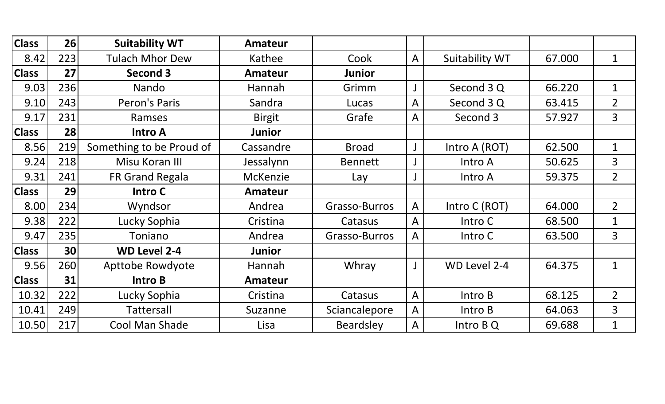| <b>Class</b> | 26  | <b>Suitability WT</b>    | <b>Amateur</b> |                  |             |                |        |                |
|--------------|-----|--------------------------|----------------|------------------|-------------|----------------|--------|----------------|
| 8.42         | 223 | <b>Tulach Mhor Dew</b>   | Kathee         | Cook             | A           | Suitability WT | 67.000 | $\mathbf 1$    |
| <b>Class</b> | 27  | Second 3                 | <b>Amateur</b> | Junior           |             |                |        |                |
| 9.03         | 236 | Nando                    | Hannah         | Grimm            |             | Second 3 Q     | 66.220 | $\mathbf 1$    |
| 9.10         | 243 | Peron's Paris            | Sandra         | Lucas            | A           | Second 3 Q     | 63.415 | $\overline{2}$ |
| 9.17         | 231 | Ramses                   | <b>Birgit</b>  | Grafe            | A           | Second 3       | 57.927 | $\overline{3}$ |
| <b>Class</b> | 28  | <b>Intro A</b>           | <b>Junior</b>  |                  |             |                |        |                |
| 8.56         | 219 | Something to be Proud of | Cassandre      | <b>Broad</b>     | $\mathsf J$ | Intro A (ROT)  | 62.500 | $\mathbf 1$    |
| 9.24         | 218 | Misu Koran III           | Jessalynn      | <b>Bennett</b>   |             | Intro A        | 50.625 | 3              |
| 9.31         | 241 | FR Grand Regala          | McKenzie       | Lay              | J           | Intro A        | 59.375 | $\overline{2}$ |
| <b>Class</b> | 29  | Intro C                  | <b>Amateur</b> |                  |             |                |        |                |
| 8.00         | 234 | Wyndsor                  | Andrea         | Grasso-Burros    | A           | Intro C (ROT)  | 64.000 | $\overline{2}$ |
| 9.38         | 222 | Lucky Sophia             | Cristina       | Catasus          | A           | Intro C        | 68.500 | $\mathbf{1}$   |
| 9.47         | 235 | Toniano                  | Andrea         | Grasso-Burros    | A           | Intro C        | 63.500 | $\overline{3}$ |
| <b>Class</b> | 30  | <b>WD Level 2-4</b>      | <b>Junior</b>  |                  |             |                |        |                |
| 9.56         | 260 | Apttobe Rowdyote         | Hannah         | Whray            | J           | WD Level 2-4   | 64.375 | $\mathbf 1$    |
| <b>Class</b> | 31  | Intro B                  | <b>Amateur</b> |                  |             |                |        |                |
| 10.32        | 222 | Lucky Sophia             | Cristina       | Catasus          | A           | Intro B        | 68.125 | $\overline{2}$ |
| 10.41        | 249 | <b>Tattersall</b>        | Suzanne        | Sciancalepore    | A           | Intro B        | 64.063 | $\overline{3}$ |
| 10.50        | 217 | <b>Cool Man Shade</b>    | Lisa           | <b>Beardsley</b> | A           | Intro B Q      | 69.688 | $\mathbf{1}$   |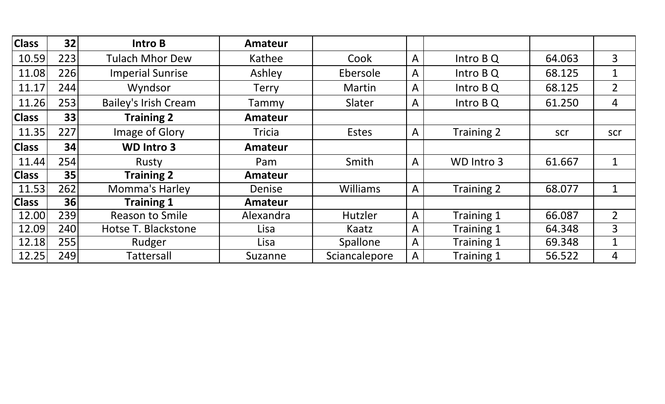| <b>Class</b> | 32  | Intro B                     | <b>Amateur</b> |               |   |            |        |                |
|--------------|-----|-----------------------------|----------------|---------------|---|------------|--------|----------------|
| 10.59        | 223 | <b>Tulach Mhor Dew</b>      | Kathee         | Cook          | A | Intro B Q  | 64.063 | 3              |
| 11.08        | 226 | <b>Imperial Sunrise</b>     | Ashley         | Ebersole      | A | Intro B Q  | 68.125 | $\mathbf{1}$   |
| 11.17        | 244 | Wyndsor                     | <b>Terry</b>   | Martin        | A | Intro B Q  | 68.125 | $\overline{2}$ |
| 11.26        | 253 | <b>Bailey's Irish Cream</b> | Tammy          | Slater        | A | Intro B Q  | 61.250 | 4              |
| <b>Class</b> | 33  | <b>Training 2</b>           | <b>Amateur</b> |               |   |            |        |                |
| 11.35        | 227 | Image of Glory              | <b>Tricia</b>  | Estes         | A | Training 2 | scr    | scr            |
| <b>Class</b> | 34  | <b>WD Intro 3</b>           | <b>Amateur</b> |               |   |            |        |                |
| 11.44        | 254 | Rusty                       | Pam            | Smith         | A | WD Intro 3 | 61.667 | $\mathbf 1$    |
| <b>Class</b> | 35  | <b>Training 2</b>           | <b>Amateur</b> |               |   |            |        |                |
| 11.53        | 262 | Momma's Harley              | Denise         | Williams      | A | Training 2 | 68.077 | $\mathbf 1$    |
| <b>Class</b> | 36  | <b>Training 1</b>           | <b>Amateur</b> |               |   |            |        |                |
| 12.00        | 239 | <b>Reason to Smile</b>      | Alexandra      | Hutzler       | A | Training 1 | 66.087 | $\overline{2}$ |
| 12.09        | 240 | Hotse T. Blackstone         | Lisa           | Kaatz         | A | Training 1 | 64.348 | 3              |
| 12.18        | 255 | Rudger                      | Lisa           | Spallone      | A | Training 1 | 69.348 | $\mathbf 1$    |
| 12.25        | 249 | Tattersall                  | Suzanne        | Sciancalepore | A | Training 1 | 56.522 | 4              |